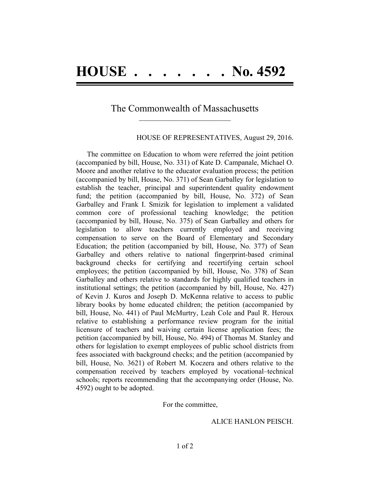### The Commonwealth of Massachusetts  $\mathcal{L}=\{1,2,3,4,5\}$

#### HOUSE OF REPRESENTATIVES, August 29, 2016.

The committee on Education to whom were referred the joint petition (accompanied by bill, House, No. 331) of Kate D. Campanale, Michael O. Moore and another relative to the educator evaluation process; the petition (accompanied by bill, House, No. 371) of Sean Garballey for legislation to establish the teacher, principal and superintendent quality endowment fund; the petition (accompanied by bill, House, No. 372) of Sean Garballey and Frank I. Smizik for legislation to implement a validated common core of professional teaching knowledge; the petition (accompanied by bill, House, No. 375) of Sean Garballey and others for legislation to allow teachers currently employed and receiving compensation to serve on the Board of Elementary and Secondary Education; the petition (accompanied by bill, House, No. 377) of Sean Garballey and others relative to national fingerprint-based criminal background checks for certifying and recertifying certain school employees; the petition (accompanied by bill, House, No. 378) of Sean Garballey and others relative to standards for highly qualified teachers in institutional settings; the petition (accompanied by bill, House, No. 427) of Kevin J. Kuros and Joseph D. McKenna relative to access to public library books by home educated children; the petition (accompanied by bill, House, No. 441) of Paul McMurtry, Leah Cole and Paul R. Heroux relative to establishing a performance review program for the initial licensure of teachers and waiving certain license application fees; the petition (accompanied by bill, House, No. 494) of Thomas M. Stanley and others for legislation to exempt employees of public school districts from fees associated with background checks; and the petition (accompanied by bill, House, No. 3621) of Robert M. Koczera and others relative to the compensation received by teachers employed by vocational–technical schools; reports recommending that the accompanying order (House, No. 4592) ought to be adopted.

#### For the committee,

#### ALICE HANLON PEISCH.